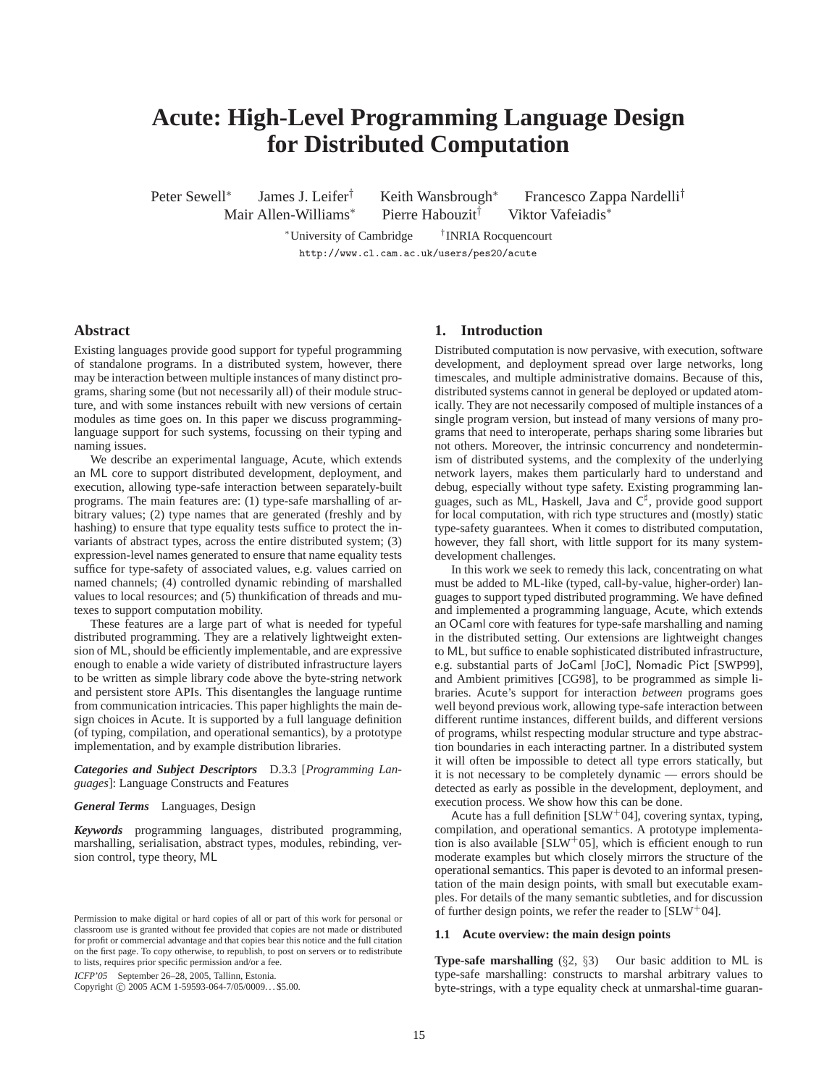# **Acute: High-Level Programming Language Design for Distributed Computation**

Peter Sewell<sup>∗</sup> James J. Leifer<sup>†</sup> Keith Wansbrough<sup>∗</sup> Francesco Zappa Nardelli<sup>†</sup> Mair Allen-Williams<sup>∗</sup> Pierre Habouzit† Viktor Vafeiadis<sup>∗</sup> <sup>∗</sup>University of Cambridge †INRIA Rocquencourt http://www.cl.cam.ac.uk/users/pes20/acute

# **Abstract**

Existing languages provide good support for typeful programming of standalone programs. In a distributed system, however, there may be interaction between multiple instances of many distinct programs, sharing some (but not necessarily all) of their module structure, and with some instances rebuilt with new versions of certain modules as time goes on. In this paper we discuss programminglanguage support for such systems, focussing on their typing and naming issues.

We describe an experimental language, Acute, which extends an ML core to support distributed development, deployment, and execution, allowing type-safe interaction between separately-built programs. The main features are: (1) type-safe marshalling of arbitrary values; (2) type names that are generated (freshly and by hashing) to ensure that type equality tests suffice to protect the invariants of abstract types, across the entire distributed system; (3) expression-level names generated to ensure that name equality tests suffice for type-safety of associated values, e.g. values carried on named channels; (4) controlled dynamic rebinding of marshalled values to local resources; and (5) thunkification of threads and mutexes to support computation mobility.

These features are a large part of what is needed for typeful distributed programming. They are a relatively lightweight extension of ML, should be efficiently implementable, and are expressive enough to enable a wide variety of distributed infrastructure layers to be written as simple library code above the byte-string network and persistent store APIs. This disentangles the language runtime from communication intricacies. This paper highlights the main design choices in Acute. It is supported by a full language definition (of typing, compilation, and operational semantics), by a prototype implementation, and by example distribution libraries.

*Categories and Subject Descriptors* D.3.3 [*Programming Languages*]: Language Constructs and Features

#### *General Terms* Languages, Design

*Keywords* programming languages, distributed programming, marshalling, serialisation, abstract types, modules, rebinding, version control, type theory, ML

ICFP'05 September 26–28, 2005, Tallinn, Estonia.

Copyright © 2005 ACM 1-59593-064-7/05/0009... \$5.00.

# **1. Introduction**

Distributed computation is now pervasive, with execution, software development, and deployment spread over large networks, long timescales, and multiple administrative domains. Because of this, distributed systems cannot in general be deployed or updated atomically. They are not necessarily composed of multiple instances of a single program version, but instead of many versions of many programs that need to interoperate, perhaps sharing some libraries but not others. Moreover, the intrinsic concurrency and nondeterminism of distributed systems, and the complexity of the underlying network layers, makes them particularly hard to understand and debug, especially without type safety. Existing programming languages, such as ML, Haskell, Java and  $C^{\sharp}$ , provide good support for local computation, with rich type structures and (mostly) static type-safety guarantees. When it comes to distributed computation, however, they fall short, with little support for its many systemdevelopment challenges.

In this work we seek to remedy this lack, concentrating on what must be added to ML-like (typed, call-by-value, higher-order) languages to support typed distributed programming. We have defined and implemented a programming language, Acute, which extends an OCaml core with features for type-safe marshalling and naming in the distributed setting. Our extensions are lightweight changes to ML, but suffice to enable sophisticated distributed infrastructure, e.g. substantial parts of JoCaml [JoC], Nomadic Pict [SWP99], and Ambient primitives [CG98], to be programmed as simple libraries. Acute's support for interaction *between* programs goes well beyond previous work, allowing type-safe interaction between different runtime instances, different builds, and different versions of programs, whilst respecting modular structure and type abstraction boundaries in each interacting partner. In a distributed system it will often be impossible to detect all type errors statically, but it is not necessary to be completely dynamic — errors should be detected as early as possible in the development, deployment, and execution process. We show how this can be done.

Acute has a full definition [SLW<sup>+</sup>04], covering syntax, typing, compilation, and operational semantics. A prototype implementation is also available [ $SLW$ <sup>+</sup>05], which is efficient enough to run moderate examples but which closely mirrors the structure of the operational semantics. This paper is devoted to an informal presentation of the main design points, with small but executable examples. For details of the many semantic subtleties, and for discussion of further design points, we refer the reader to  $[SLW^+04]$ .

### **1.1 Acute overview: the main design points**

**Type-safe marshalling** (§2, §3) Our basic addition to ML is type-safe marshalling: constructs to marshal arbitrary values to byte-strings, with a type equality check at unmarshal-time guaran-

Permission to make digital or hard copies of all or part of this work for personal or classroom use is granted without fee provided that copies are not made or distributed for profit or commercial advantage and that copies bear this notice and the full citation on the first page. To copy otherwise, to republish, to post on servers or to redistribute to lists, requires prior specific permission and/or a fee.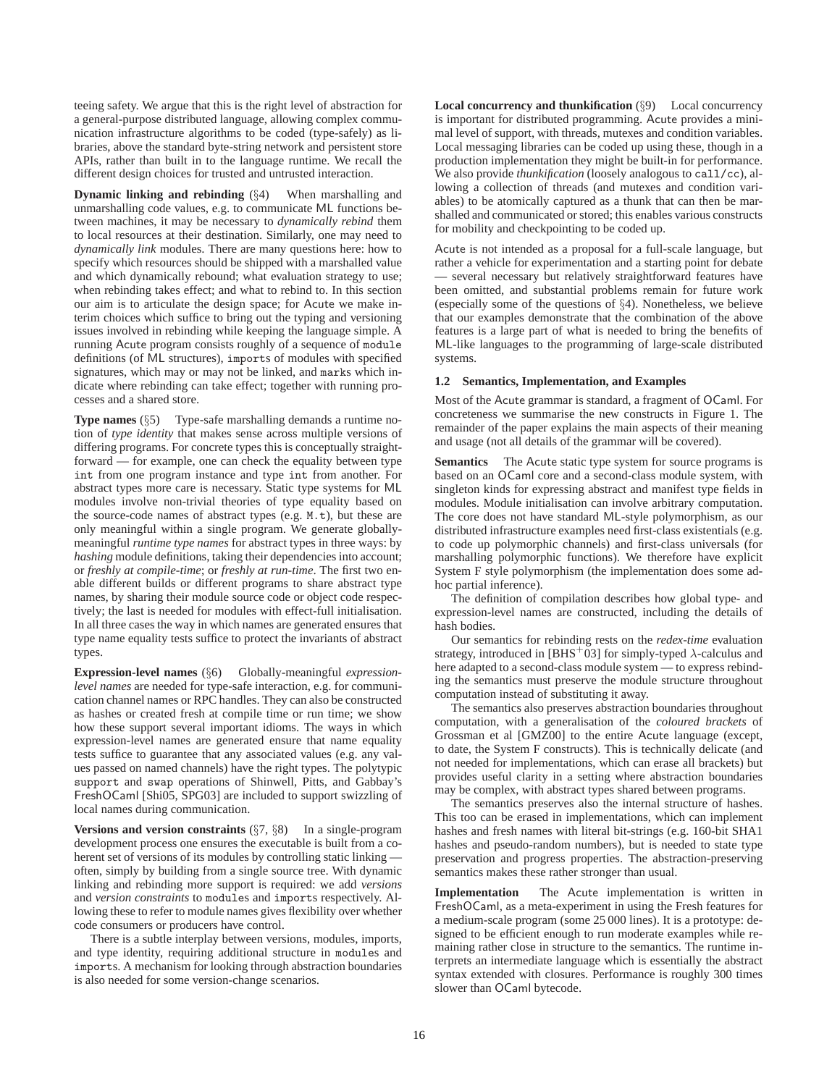teeing safety. We argue that this is the right level of abstraction for a general-purpose distributed language, allowing complex communication infrastructure algorithms to be coded (type-safely) as libraries, above the standard byte-string network and persistent store APIs, rather than built in to the language runtime. We recall the different design choices for trusted and untrusted interaction.

**Dynamic linking and rebinding** (§4) When marshalling and unmarshalling code values, e.g. to communicate ML functions between machines, it may be necessary to *dynamically rebind* them to local resources at their destination. Similarly, one may need to *dynamically link* modules. There are many questions here: how to specify which resources should be shipped with a marshalled value and which dynamically rebound; what evaluation strategy to use; when rebinding takes effect; and what to rebind to. In this section our aim is to articulate the design space; for Acute we make interim choices which suffice to bring out the typing and versioning issues involved in rebinding while keeping the language simple. A running Acute program consists roughly of a sequence of module definitions (of ML structures), imports of modules with specified signatures, which may or may not be linked, and marks which indicate where rebinding can take effect; together with running processes and a shared store.

**Type names** (§5) Type-safe marshalling demands a runtime notion of *type identity* that makes sense across multiple versions of differing programs. For concrete types this is conceptually straightforward — for example, one can check the equality between type int from one program instance and type int from another. For abstract types more care is necessary. Static type systems for ML modules involve non-trivial theories of type equality based on the source-code names of abstract types (e.g. M.t), but these are only meaningful within a single program. We generate globallymeaningful *runtime type names* for abstract types in three ways: by *hashing* module definitions, taking their dependencies into account; or *freshly at compile-time*; or *freshly at run-time*. The first two enable different builds or different programs to share abstract type names, by sharing their module source code or object code respectively; the last is needed for modules with effect-full initialisation. In all three cases the way in which names are generated ensures that type name equality tests suffice to protect the invariants of abstract types.

**Expression-level names** (§6) Globally-meaningful *expressionlevel names* are needed for type-safe interaction, e.g. for communication channel names or RPC handles. They can also be constructed as hashes or created fresh at compile time or run time; we show how these support several important idioms. The ways in which expression-level names are generated ensure that name equality tests suffice to guarantee that any associated values (e.g. any values passed on named channels) have the right types. The polytypic support and swap operations of Shinwell, Pitts, and Gabbay's FreshOCaml [Shi05, SPG03] are included to support swizzling of local names during communication.

**Versions and version constraints** (§7, §8) In a single-program development process one ensures the executable is built from a coherent set of versions of its modules by controlling static linking often, simply by building from a single source tree. With dynamic linking and rebinding more support is required: we add *versions* and *version constraints* to modules and imports respectively. Allowing these to refer to module names gives flexibility over whether code consumers or producers have control.

There is a subtle interplay between versions, modules, imports, and type identity, requiring additional structure in modules and imports. A mechanism for looking through abstraction boundaries is also needed for some version-change scenarios.

**Local concurrency and thunkification** (§9) Local concurrency is important for distributed programming. Acute provides a minimal level of support, with threads, mutexes and condition variables. Local messaging libraries can be coded up using these, though in a production implementation they might be built-in for performance. We also provide *thunkification* (loosely analogous to call/cc), allowing a collection of threads (and mutexes and condition variables) to be atomically captured as a thunk that can then be marshalled and communicated or stored; this enables various constructs for mobility and checkpointing to be coded up.

Acute is not intended as a proposal for a full-scale language, but rather a vehicle for experimentation and a starting point for debate — several necessary but relatively straightforward features have been omitted, and substantial problems remain for future work (especially some of the questions of §4). Nonetheless, we believe that our examples demonstrate that the combination of the above features is a large part of what is needed to bring the benefits of ML-like languages to the programming of large-scale distributed systems.

#### **1.2 Semantics, Implementation, and Examples**

Most of the Acute grammar is standard, a fragment of OCaml. For concreteness we summarise the new constructs in Figure 1. The remainder of the paper explains the main aspects of their meaning and usage (not all details of the grammar will be covered).

**Semantics** The Acute static type system for source programs is based on an OCaml core and a second-class module system, with singleton kinds for expressing abstract and manifest type fields in modules. Module initialisation can involve arbitrary computation. The core does not have standard ML-style polymorphism, as our distributed infrastructure examples need first-class existentials (e.g. to code up polymorphic channels) and first-class universals (for marshalling polymorphic functions). We therefore have explicit System F style polymorphism (the implementation does some adhoc partial inference).

The definition of compilation describes how global type- and expression-level names are constructed, including the details of hash bodies.

Our semantics for rebinding rests on the *redex-time* evaluation strategy, introduced in [BHS<sup>+</sup>03] for simply-typed  $\lambda$ -calculus and here adapted to a second-class module system — to express rebinding the semantics must preserve the module structure throughout computation instead of substituting it away.

The semantics also preserves abstraction boundaries throughout computation, with a generalisation of the *coloured brackets* of Grossman et al [GMZ00] to the entire Acute language (except, to date, the System F constructs). This is technically delicate (and not needed for implementations, which can erase all brackets) but provides useful clarity in a setting where abstraction boundaries may be complex, with abstract types shared between programs.

The semantics preserves also the internal structure of hashes. This too can be erased in implementations, which can implement hashes and fresh names with literal bit-strings (e.g. 160-bit SHA1 hashes and pseudo-random numbers), but is needed to state type preservation and progress properties. The abstraction-preserving semantics makes these rather stronger than usual.

**Implementation** The Acute implementation is written in FreshOCaml, as a meta-experiment in using the Fresh features for a medium-scale program (some 25 000 lines). It is a prototype: designed to be efficient enough to run moderate examples while remaining rather close in structure to the semantics. The runtime interprets an intermediate language which is essentially the abstract syntax extended with closures. Performance is roughly 300 times slower than OCaml bytecode.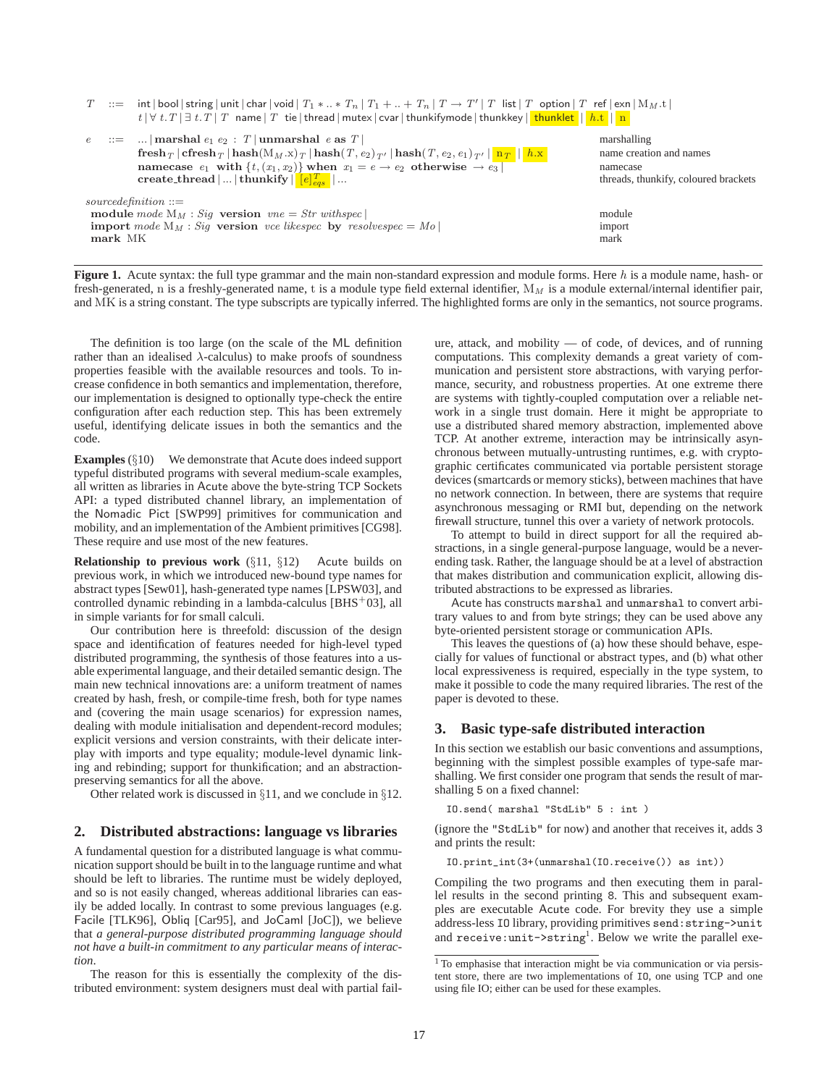|                                                                                                                                                                                                 |                       | $\therefore$ int   bool   string   unit   char   void   $T_1 *  * T_n$   $T_1 +  + T_n$   $T \to T'$   $T$   ist   $T$   option   $T$   ref   exn   $M_M$ .t  <br>$t \mid \forall t$ . $T \mid \exists t$ . $T \mid T$ name $T$ tie   thread   mutex   cvar   thunkifymode   thunkkey   thunklet   h.t   n                                                                                               |                                                                                            |  |  |
|-------------------------------------------------------------------------------------------------------------------------------------------------------------------------------------------------|-----------------------|----------------------------------------------------------------------------------------------------------------------------------------------------------------------------------------------------------------------------------------------------------------------------------------------------------------------------------------------------------------------------------------------------------|--------------------------------------------------------------------------------------------|--|--|
| $\epsilon$                                                                                                                                                                                      | $\mathrel{\mathop:}=$ | marshal $e_1$ $e_2$ : T   unmarshal e as T  <br>${\rm \bf{ fresh}}_T\ {\rm \bf{cfresh}}_T\ {\rm \bf{hash}}(M_M.x)_T\ {\rm \bf{hash}}(T,e_2)_{T'}\ {\rm \bf{hash}}(T,e_2,e_1)_{T'}\ {\rm \bf{n}}_T\ {\rm \bf{\textit{h}}}.x$<br>namecase $e_1$ with $\{t, (x_1, x_2)\}\$ when $x_1 = e \rightarrow e_2$ otherwise $\rightarrow e_3$<br>create_thread      thunkify $\left  \frac{e}{e} \right _{ens}^{T}$ | marshalling<br>name creation and names<br>namecase<br>threads, thunkify, coloured brackets |  |  |
| $source definition ::=$<br>module mode $M_M$ : Sig version vne = Str withspec<br>module<br><b>import</b> mode $M_M$ : Siq version vcc likespec by resolvespec = Mo<br>import<br>mark MK<br>mark |                       |                                                                                                                                                                                                                                                                                                                                                                                                          |                                                                                            |  |  |

**Figure 1.** Acute syntax: the full type grammar and the main non-standard expression and module forms. Here h is a module name, hash- or fresh-generated, n is a freshly-generated name, t is a module type field external identifier,  $M_M$  is a module external/internal identifier pair, and MK is a string constant. The type subscripts are typically inferred. The highlighted forms are only in the semantics, not source programs.

The definition is too large (on the scale of the ML definition rather than an idealised  $\lambda$ -calculus) to make proofs of soundness properties feasible with the available resources and tools. To increase confidence in both semantics and implementation, therefore, our implementation is designed to optionally type-check the entire configuration after each reduction step. This has been extremely useful, identifying delicate issues in both the semantics and the code.

**Examples** (§10) We demonstrate that Acute does indeed support typeful distributed programs with several medium-scale examples, all written as libraries in Acute above the byte-string TCP Sockets API: a typed distributed channel library, an implementation of the Nomadic Pict [SWP99] primitives for communication and mobility, and an implementation of the Ambient primitives [CG98]. These require and use most of the new features.

**Relationship to previous work** (§11, §12) Acute builds on previous work, in which we introduced new-bound type names for abstract types [Sew01], hash-generated type names [LPSW03], and controlled dynamic rebinding in a lambda-calculus  $[BHS^+03]$ , all in simple variants for for small calculi.

Our contribution here is threefold: discussion of the design space and identification of features needed for high-level typed distributed programming, the synthesis of those features into a usable experimental language, and their detailed semantic design. The main new technical innovations are: a uniform treatment of names created by hash, fresh, or compile-time fresh, both for type names and (covering the main usage scenarios) for expression names, dealing with module initialisation and dependent-record modules; explicit versions and version constraints, with their delicate interplay with imports and type equality; module-level dynamic linking and rebinding; support for thunkification; and an abstractionpreserving semantics for all the above.

Other related work is discussed in §11, and we conclude in §12.

# **2. Distributed abstractions: language vs libraries**

A fundamental question for a distributed language is what communication support should be built in to the language runtime and what should be left to libraries. The runtime must be widely deployed, and so is not easily changed, whereas additional libraries can easily be added locally. In contrast to some previous languages (e.g. Facile [TLK96], Obliq [Car95], and JoCaml [JoC]), we believe that *a general-purpose distributed programming language should not have a built-in commitment to any particular means of interaction*.

The reason for this is essentially the complexity of the distributed environment: system designers must deal with partial failure, attack, and mobility — of code, of devices, and of running computations. This complexity demands a great variety of communication and persistent store abstractions, with varying performance, security, and robustness properties. At one extreme there are systems with tightly-coupled computation over a reliable network in a single trust domain. Here it might be appropriate to use a distributed shared memory abstraction, implemented above TCP. At another extreme, interaction may be intrinsically asynchronous between mutually-untrusting runtimes, e.g. with cryptographic certificates communicated via portable persistent storage devices (smartcards or memory sticks), between machines that have no network connection. In between, there are systems that require asynchronous messaging or RMI but, depending on the network firewall structure, tunnel this over a variety of network protocols.

To attempt to build in direct support for all the required abstractions, in a single general-purpose language, would be a neverending task. Rather, the language should be at a level of abstraction that makes distribution and communication explicit, allowing distributed abstractions to be expressed as libraries.

Acute has constructs marshal and unmarshal to convert arbitrary values to and from byte strings; they can be used above any byte-oriented persistent storage or communication APIs.

This leaves the questions of (a) how these should behave, especially for values of functional or abstract types, and (b) what other local expressiveness is required, especially in the type system, to make it possible to code the many required libraries. The rest of the paper is devoted to these.

# **3. Basic type-safe distributed interaction**

In this section we establish our basic conventions and assumptions, beginning with the simplest possible examples of type-safe marshalling. We first consider one program that sends the result of marshalling 5 on a fixed channel:

IO.send( marshal "StdLib" 5 : int )

(ignore the "StdLib" for now) and another that receives it, adds 3 and prints the result:

IO.print\_int(3+(unmarshal(IO.receive()) as int))

Compiling the two programs and then executing them in parallel results in the second printing 8. This and subsequent examples are executable Acute code. For brevity they use a simple address-less IO library, providing primitives send:string->unit and  $\texttt{receive:unit}\texttt{-}\texttt{string}^1$ . Below we write the parallel exe-

<sup>&</sup>lt;sup>1</sup> To emphasise that interaction might be via communication or via persistent store, there are two implementations of IO, one using TCP and one using file IO; either can be used for these examples.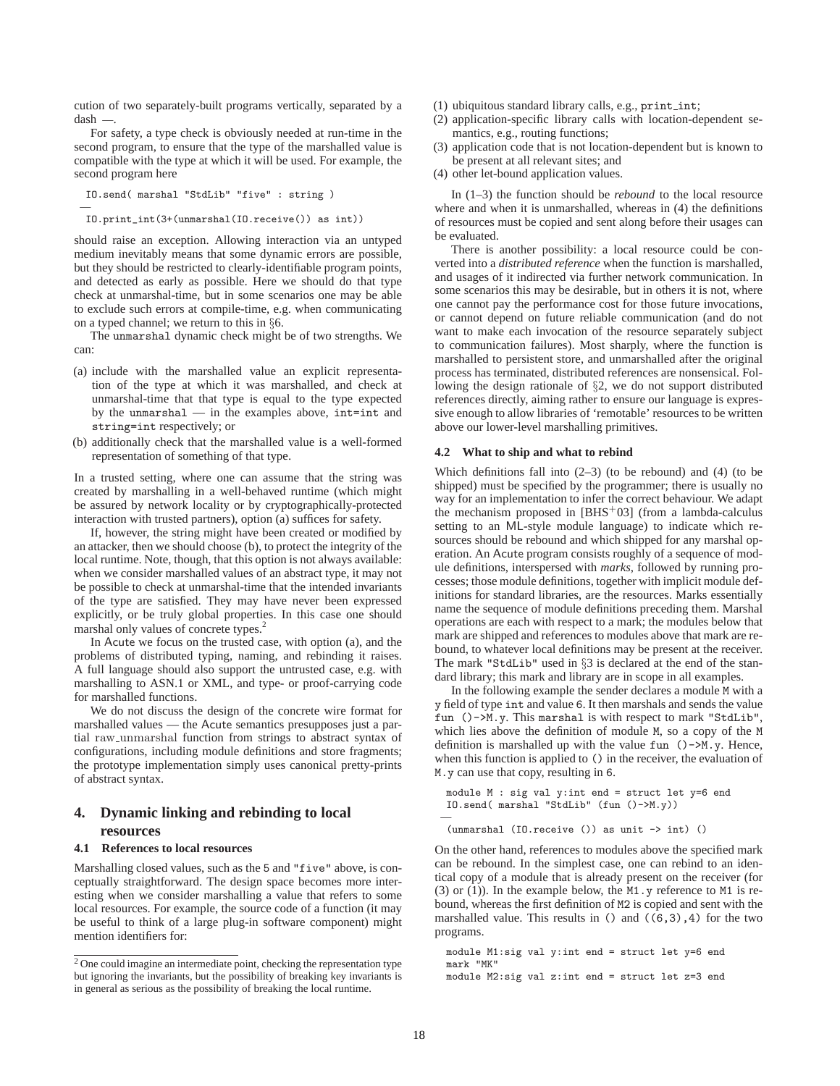cution of two separately-built programs vertically, separated by a dash —.

For safety, a type check is obviously needed at run-time in the second program, to ensure that the type of the marshalled value is compatible with the type at which it will be used. For example, the second program here

IO.send( marshal "StdLib" "five" : string ) —

IO.print\_int(3+(unmarshal(IO.receive()) as int))

should raise an exception. Allowing interaction via an untyped medium inevitably means that some dynamic errors are possible, but they should be restricted to clearly-identifiable program points, and detected as early as possible. Here we should do that type check at unmarshal-time, but in some scenarios one may be able to exclude such errors at compile-time, e.g. when communicating on a typed channel; we return to this in §6.

The unmarshal dynamic check might be of two strengths. We can:

- (a) include with the marshalled value an explicit representation of the type at which it was marshalled, and check at unmarshal-time that that type is equal to the type expected by the unmarshal — in the examples above, int=int and string=int respectively; or
- (b) additionally check that the marshalled value is a well-formed representation of something of that type.

In a trusted setting, where one can assume that the string was created by marshalling in a well-behaved runtime (which might be assured by network locality or by cryptographically-protected interaction with trusted partners), option (a) suffices for safety.

If, however, the string might have been created or modified by an attacker, then we should choose (b), to protect the integrity of the local runtime. Note, though, that this option is not always available: when we consider marshalled values of an abstract type, it may not be possible to check at unmarshal-time that the intended invariants of the type are satisfied. They may have never been expressed explicitly, or be truly global properties. In this case one should marshal only values of concrete types.<sup>2</sup>

In Acute we focus on the trusted case, with option (a), and the problems of distributed typing, naming, and rebinding it raises. A full language should also support the untrusted case, e.g. with marshalling to ASN.1 or XML, and type- or proof-carrying code for marshalled functions.

We do not discuss the design of the concrete wire format for marshalled values — the Acute semantics presupposes just a partial raw unmarshal function from strings to abstract syntax of configurations, including module definitions and store fragments; the prototype implementation simply uses canonical pretty-prints of abstract syntax.

# **4. Dynamic linking and rebinding to local resources**

#### **4.1 References to local resources**

Marshalling closed values, such as the 5 and "five" above, is conceptually straightforward. The design space becomes more interesting when we consider marshalling a value that refers to some local resources. For example, the source code of a function (it may be useful to think of a large plug-in software component) might mention identifiers for:

- (1) ubiquitous standard library calls, e.g., print\_int;
- (2) application-specific library calls with location-dependent semantics, e.g., routing functions;
- (3) application code that is not location-dependent but is known to be present at all relevant sites; and
- (4) other let-bound application values.

In (1–3) the function should be *rebound* to the local resource where and when it is unmarshalled, whereas in (4) the definitions of resources must be copied and sent along before their usages can be evaluated.

There is another possibility: a local resource could be converted into a *distributed reference* when the function is marshalled, and usages of it indirected via further network communication. In some scenarios this may be desirable, but in others it is not, where one cannot pay the performance cost for those future invocations, or cannot depend on future reliable communication (and do not want to make each invocation of the resource separately subject to communication failures). Most sharply, where the function is marshalled to persistent store, and unmarshalled after the original process has terminated, distributed references are nonsensical. Following the design rationale of §2, we do not support distributed references directly, aiming rather to ensure our language is expressive enough to allow libraries of 'remotable' resources to be written above our lower-level marshalling primitives.

#### **4.2 What to ship and what to rebind**

Which definitions fall into  $(2-3)$  (to be rebound) and  $(4)$  (to be shipped) must be specified by the programmer; there is usually no way for an implementation to infer the correct behaviour. We adapt the mechanism proposed in  $[BHS^+03]$  (from a lambda-calculus setting to an ML-style module language) to indicate which resources should be rebound and which shipped for any marshal operation. An Acute program consists roughly of a sequence of module definitions, interspersed with *marks*, followed by running processes; those module definitions, together with implicit module definitions for standard libraries, are the resources. Marks essentially name the sequence of module definitions preceding them. Marshal operations are each with respect to a mark; the modules below that mark are shipped and references to modules above that mark are rebound, to whatever local definitions may be present at the receiver. The mark "StdLib" used in §3 is declared at the end of the standard library; this mark and library are in scope in all examples.

In the following example the sender declares a module M with a y field of type int and value 6. It then marshals and sends the value fun ()->M.y. This marshal is with respect to mark "StdLib", which lies above the definition of module M, so a copy of the M definition is marshalled up with the value fun ()->M.y. Hence, when this function is applied to () in the receiver, the evaluation of M.y can use that copy, resulting in 6.

module M : sig val y:int end = struct let y=6 end IO.send( marshal "StdLib" (fun ()->M.y)) —

(unmarshal (IO.receive ()) as unit -> int) ()

On the other hand, references to modules above the specified mark can be rebound. In the simplest case, one can rebind to an identical copy of a module that is already present on the receiver (for (3) or (1)). In the example below, the M1.y reference to M1 is rebound, whereas the first definition of M2 is copied and sent with the marshalled value. This results in () and  $((6,3),4)$  for the two programs.

```
module M1:sig val y:int end = struct let y=6 end
mark "MK"
module M2:sig val z: int end = struct let z=3 end
```
<sup>2</sup> One could imagine an intermediate point, checking the representation type but ignoring the invariants, but the possibility of breaking key invariants is in general as serious as the possibility of breaking the local runtime.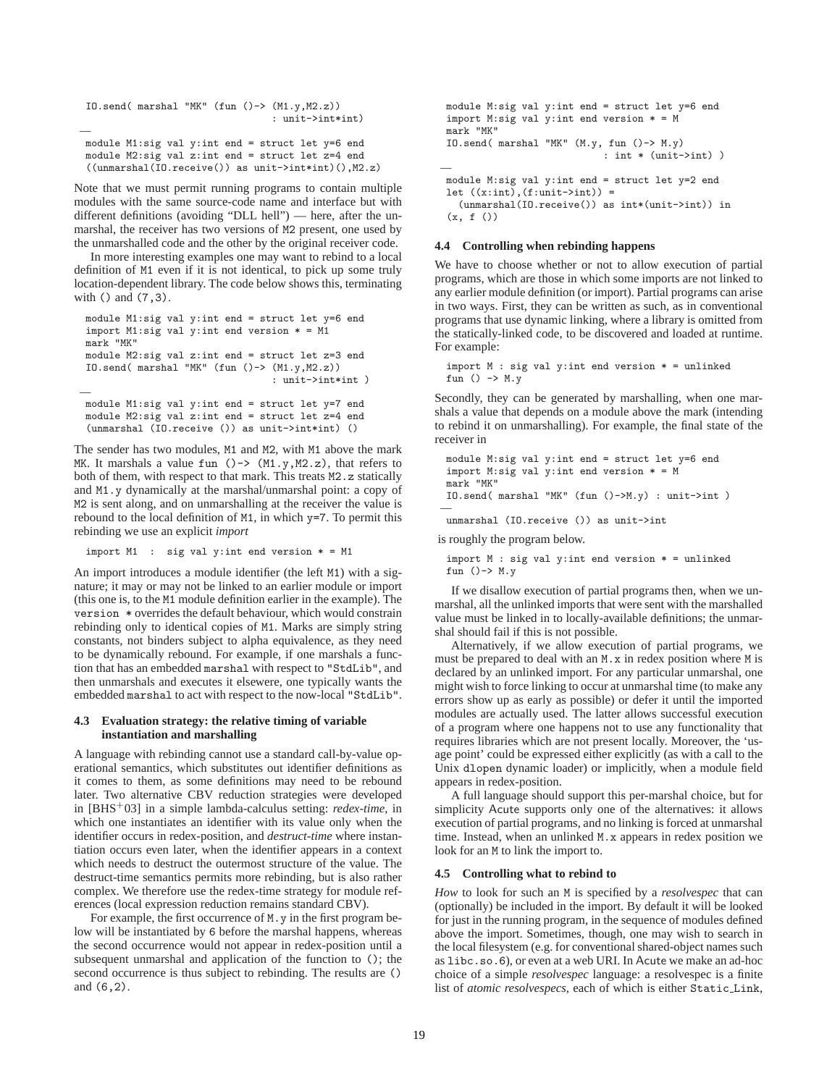```
IO.send( marshal "MK" (fun ()-> (M1.y,M2.z))
                                 : unit->int*int)
—
module M1:sig val y:int end = struct let y=6 end
module M2:sig val z:int end = struct let z=4 end
((unmarshal(IO.receive()) as unit->int*int)(),M2.z)
```
Note that we must permit running programs to contain multiple modules with the same source-code name and interface but with different definitions (avoiding "DLL hell") — here, after the unmarshal, the receiver has two versions of M2 present, one used by the unmarshalled code and the other by the original receiver code.

In more interesting examples one may want to rebind to a local definition of M1 even if it is not identical, to pick up some truly location-dependent library. The code below shows this, terminating with () and (7,3).

```
module M1:sig val y:int end = struct let y=6 end
import M1:sig val y:int end version * = M1
mark "MK"
module M2:sig val z:int end = struct let z=3 end
IO.send( marshal "MK" (fun ()-> (M1.y,M2.z))
                                : unit->int*int )
—
```
module M1:sig val y:int end = struct let y=7 end module M2:sig val z:int end = struct let z=4 end (unmarshal (IO.receive ()) as unit->int\*int) ()

The sender has two modules, M1 and M2, with M1 above the mark MK. It marshals a value fun ()->  $(M1.y,M2.z)$ , that refers to both of them, with respect to that mark. This treats M2.z statically and M1.y dynamically at the marshal/unmarshal point: a copy of M2 is sent along, and on unmarshalling at the receiver the value is rebound to the local definition of M1, in which y=7. To permit this rebinding we use an explicit *import*

import M1 : sig val y:int end version \* = M1

An import introduces a module identifier (the left M1) with a signature; it may or may not be linked to an earlier module or import (this one is, to the M1 module definition earlier in the example). The version \* overrides the default behaviour, which would constrain rebinding only to identical copies of M1. Marks are simply string constants, not binders subject to alpha equivalence, as they need to be dynamically rebound. For example, if one marshals a function that has an embedded marshal with respect to "StdLib", and then unmarshals and executes it elsewere, one typically wants the embedded marshal to act with respect to the now-local "StdLib".

### **4.3 Evaluation strategy: the relative timing of variable instantiation and marshalling**

A language with rebinding cannot use a standard call-by-value operational semantics, which substitutes out identifier definitions as it comes to them, as some definitions may need to be rebound later. Two alternative CBV reduction strategies were developed in [BHS<sup>+</sup>03] in a simple lambda-calculus setting: *redex-time*, in which one instantiates an identifier with its value only when the identifier occurs in redex-position, and *destruct-time* where instantiation occurs even later, when the identifier appears in a context which needs to destruct the outermost structure of the value. The destruct-time semantics permits more rebinding, but is also rather complex. We therefore use the redex-time strategy for module references (local expression reduction remains standard CBV).

For example, the first occurrence of M.y in the first program below will be instantiated by 6 before the marshal happens, whereas the second occurrence would not appear in redex-position until a subsequent unmarshal and application of the function to (); the second occurrence is thus subject to rebinding. The results are () and (6,2).

```
module M:sig val y:int end = struct let y=6 end
import M:sig val y:int end version * = M
mark "MK"
IO.send( marshal "MK" (M.y, fun ()-> M.y)
                           : int * (unit->int) )
—
module M:sig val y:int end = struct let y=2 end
```

```
let ((x:int), (f:unit->int)) =
  (unmarshal(IO.receive()) as int*(unit->int)) in
(x, f())
```
#### **4.4 Controlling when rebinding happens**

We have to choose whether or not to allow execution of partial programs, which are those in which some imports are not linked to any earlier module definition (or import). Partial programs can arise in two ways. First, they can be written as such, as in conventional programs that use dynamic linking, where a library is omitted from the statically-linked code, to be discovered and loaded at runtime. For example:

import M : sig val y:int end version \* = unlinked fun  $() \rightarrow M.y$ 

Secondly, they can be generated by marshalling, when one marshals a value that depends on a module above the mark (intending to rebind it on unmarshalling). For example, the final state of the receiver in

```
module M:sig val y:int end = struct let y=6 end
import M:sig val y: int end version * = Mmark "MK"
IO.send( marshal "MK" (fun ()->M.y) : unit->int )
—
unmarshal (IO.receive ()) as unit->int
```
is roughly the program below.

import M : sig val y:int end version \* = unlinked fun ()-> M.y

If we disallow execution of partial programs then, when we unmarshal, all the unlinked imports that were sent with the marshalled value must be linked in to locally-available definitions; the unmarshal should fail if this is not possible.

Alternatively, if we allow execution of partial programs, we must be prepared to deal with an M.x in redex position where M is declared by an unlinked import. For any particular unmarshal, one might wish to force linking to occur at unmarshal time (to make any errors show up as early as possible) or defer it until the imported modules are actually used. The latter allows successful execution of a program where one happens not to use any functionality that requires libraries which are not present locally. Moreover, the 'usage point' could be expressed either explicitly (as with a call to the Unix dlopen dynamic loader) or implicitly, when a module field appears in redex-position.

A full language should support this per-marshal choice, but for simplicity Acute supports only one of the alternatives: it allows execution of partial programs, and no linking is forced at unmarshal time. Instead, when an unlinked M.x appears in redex position we look for an M to link the import to.

#### **4.5 Controlling what to rebind to**

*How* to look for such an M is specified by a *resolvespec* that can (optionally) be included in the import. By default it will be looked for just in the running program, in the sequence of modules defined above the import. Sometimes, though, one may wish to search in the local filesystem (e.g. for conventional shared-object names such as libc.so.6), or even at a web URI. In Acute we make an ad-hoc choice of a simple *resolvespec* language: a resolvespec is a finite list of *atomic resolvespecs*, each of which is either Static Link,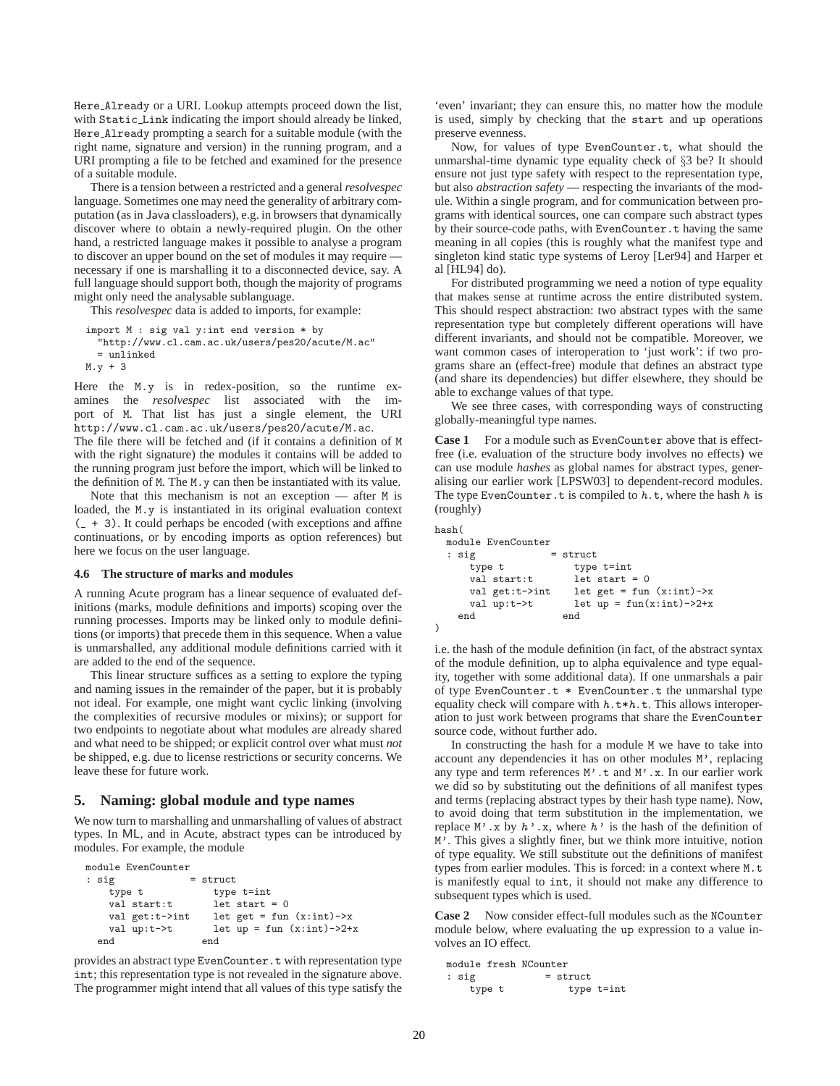Here Already or a URI. Lookup attempts proceed down the list, with Static Link indicating the import should already be linked, Here Already prompting a search for a suitable module (with the right name, signature and version) in the running program, and a URI prompting a file to be fetched and examined for the presence of a suitable module.

There is a tension between a restricted and a general *resolvespec* language. Sometimes one may need the generality of arbitrary computation (as in Java classloaders), e.g. in browsers that dynamically discover where to obtain a newly-required plugin. On the other hand, a restricted language makes it possible to analyse a program to discover an upper bound on the set of modules it may require necessary if one is marshalling it to a disconnected device, say. A full language should support both, though the majority of programs might only need the analysable sublanguage.

This *resolvespec* data is added to imports, for example:

```
import M : sig val y:int end version * by
  "http://www.cl.cam.ac.uk/users/pes20/acute/M.ac"
  = unlinked
M_{y} + 3
```
Here the M.y is in redex-position, so the runtime examines the *resolvespec* list associated with the import of M. That list has just a single element, the URI http://www.cl.cam.ac.uk/users/pes20/acute/M.ac. The file there will be fetched and (if it contains a definition of M

with the right signature) the modules it contains will be added to the running program just before the import, which will be linked to the definition of M. The M.y can then be instantiated with its value.

Note that this mechanism is not an exception — after M is loaded, the M.y is instantiated in its original evaluation context ( + 3). It could perhaps be encoded (with exceptions and affine continuations, or by encoding imports as option references) but here we focus on the user language.

#### **4.6 The structure of marks and modules**

A running Acute program has a linear sequence of evaluated definitions (marks, module definitions and imports) scoping over the running processes. Imports may be linked only to module definitions (or imports) that precede them in this sequence. When a value is unmarshalled, any additional module definitions carried with it are added to the end of the sequence.

This linear structure suffices as a setting to explore the typing and naming issues in the remainder of the paper, but it is probably not ideal. For example, one might want cyclic linking (involving the complexities of recursive modules or mixins); or support for two endpoints to negotiate about what modules are already shared and what need to be shipped; or explicit control over what must *not* be shipped, e.g. due to license restrictions or security concerns. We leave these for future work.

### **5. Naming: global module and type names**

We now turn to marshalling and unmarshalling of values of abstract types. In ML, and in Acute, abstract types can be introduced by modules. For example, the module

|       | module EvenCounter   |                              |
|-------|----------------------|------------------------------|
| : sig |                      | $=$ struct                   |
|       | type t               | type t=int                   |
|       | val start:t          | let start = $0$              |
|       | $val$ get:t->int     | let get = fun $(x:int)$ ->x  |
|       | $val$ up: $t$ -> $t$ | let up = fun $(x:int)$ ->2+x |
| end   |                      | end                          |

provides an abstract type EvenCounter.t with representation type int; this representation type is not revealed in the signature above. The programmer might intend that all values of this type satisfy the

'even' invariant; they can ensure this, no matter how the module is used, simply by checking that the start and up operations preserve evenness.

Now, for values of type EvenCounter.t, what should the unmarshal-time dynamic type equality check of §3 be? It should ensure not just type safety with respect to the representation type, but also *abstraction safety* — respecting the invariants of the module. Within a single program, and for communication between programs with identical sources, one can compare such abstract types by their source-code paths, with EvenCounter.t having the same meaning in all copies (this is roughly what the manifest type and singleton kind static type systems of Leroy [Ler94] and Harper et al [HL94] do).

For distributed programming we need a notion of type equality that makes sense at runtime across the entire distributed system. This should respect abstraction: two abstract types with the same representation type but completely different operations will have different invariants, and should not be compatible. Moreover, we want common cases of interoperation to 'just work': if two programs share an (effect-free) module that defines an abstract type (and share its dependencies) but differ elsewhere, they should be able to exchange values of that type.

We see three cases, with corresponding ways of constructing globally-meaningful type names.

**Case 1** For a module such as EvenCounter above that is effectfree (i.e. evaluation of the structure body involves no effects) we can use module *hashes* as global names for abstract types, generalising our earlier work [LPSW03] to dependent-record modules. The type EvenCounter.t is compiled to  $h$ .t, where the hash  $h$  is (roughly)

```
hash(
  module EvenCounter
  : sig = struct
       type t type t=int<br>val start:t let start
                            let start = 0val get:t->int let get = fun (x:int)->x<br>val up:t->t let up = fun(x:int)->2+x
     val up:t->t let up = fun(x:int)->2+x<br>end end
     end end
\lambda
```
i.e. the hash of the module definition (in fact, of the abstract syntax of the module definition, up to alpha equivalence and type equality, together with some additional data). If one unmarshals a pair of type EvenCounter.t \* EvenCounter.t the unmarshal type equality check will compare with  $h.\texttt{t} * h.\texttt{t}$ . This allows interoperation to just work between programs that share the EvenCounter source code, without further ado.

In constructing the hash for a module M we have to take into account any dependencies it has on other modules M', replacing any type and term references M'.t and M'.x. In our earlier work we did so by substituting out the definitions of all manifest types and terms (replacing abstract types by their hash type name). Now, to avoid doing that term substitution in the implementation, we replace  $M'$ .x by  $h'$ .x, where  $h'$  is the hash of the definition of M'. This gives a slightly finer, but we think more intuitive, notion of type equality. We still substitute out the definitions of manifest types from earlier modules. This is forced: in a context where M.t is manifestly equal to int, it should not make any difference to subsequent types which is used.

**Case 2** Now consider effect-full modules such as the NCounter module below, where evaluating the up expression to a value involves an IO effect.

```
module fresh NCounter
: sig = struct
   type t type t=int
```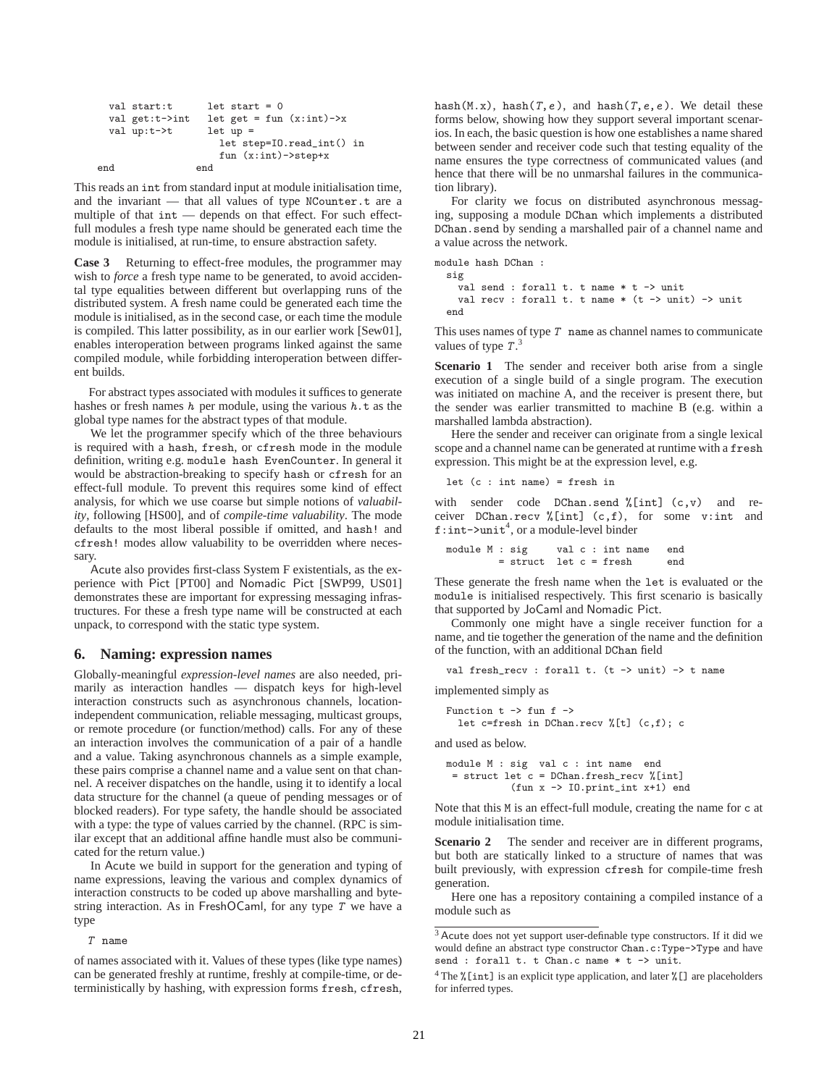```
val start: let start = 0<br>val get:t->int let get = fun
                      let get = fun (x:int)->x<br>let up =
  val up:t->tlet step=IO.read_int() in
                         fun (x:int)->step+x
end end
```
This reads an int from standard input at module initialisation time, and the invariant — that all values of type NCounter.t are a multiple of that int — depends on that effect. For such effectfull modules a fresh type name should be generated each time the module is initialised, at run-time, to ensure abstraction safety.

**Case 3** Returning to effect-free modules, the programmer may wish to *force* a fresh type name to be generated, to avoid accidental type equalities between different but overlapping runs of the distributed system. A fresh name could be generated each time the module is initialised, as in the second case, or each time the module is compiled. This latter possibility, as in our earlier work [Sew01], enables interoperation between programs linked against the same compiled module, while forbidding interoperation between different builds.

For abstract types associated with modules it suffices to generate hashes or fresh names  $h$  per module, using the various  $h \cdot t$  as the global type names for the abstract types of that module.

We let the programmer specify which of the three behaviours is required with a hash, fresh, or cfresh mode in the module definition, writing e.g. module hash EvenCounter. In general it would be abstraction-breaking to specify hash or cfresh for an effect-full module. To prevent this requires some kind of effect analysis, for which we use coarse but simple notions of *valuability*, following [HS00], and of *compile-time valuability*. The mode defaults to the most liberal possible if omitted, and hash! and cfresh! modes allow valuability to be overridden where necessary.

Acute also provides first-class System F existentials, as the experience with Pict [PT00] and Nomadic Pict [SWP99, US01] demonstrates these are important for expressing messaging infrastructures. For these a fresh type name will be constructed at each unpack, to correspond with the static type system.

# **6. Naming: expression names**

Globally-meaningful *expression-level names* are also needed, primarily as interaction handles — dispatch keys for high-level interaction constructs such as asynchronous channels, locationindependent communication, reliable messaging, multicast groups, or remote procedure (or function/method) calls. For any of these an interaction involves the communication of a pair of a handle and a value. Taking asynchronous channels as a simple example, these pairs comprise a channel name and a value sent on that channel. A receiver dispatches on the handle, using it to identify a local data structure for the channel (a queue of pending messages or of blocked readers). For type safety, the handle should be associated with a type: the type of values carried by the channel. (RPC is similar except that an additional affine handle must also be communicated for the return value.)

In Acute we build in support for the generation and typing of name expressions, leaving the various and complex dynamics of interaction constructs to be coded up above marshalling and bytestring interaction. As in FreshOCaml, for any type  $T$  we have a type

T name

of names associated with it. Values of these types (like type names) can be generated freshly at runtime, freshly at compile-time, or deterministically by hashing, with expression forms fresh, cfresh, hash(M.x), hash(T,e), and hash(T,e,e). We detail these forms below, showing how they support several important scenarios. In each, the basic question is how one establishes a name shared between sender and receiver code such that testing equality of the name ensures the type correctness of communicated values (and hence that there will be no unmarshal failures in the communication library).

For clarity we focus on distributed asynchronous messaging, supposing a module DChan which implements a distributed DChan.send by sending a marshalled pair of a channel name and a value across the network.

module hash DChan :

```
sig
 val send : forall t. t name * t -> unit
 val recv : forall t. t name * (t -> unit) -> unit
end
```
This uses names of type  $T$  name as channel names to communicate values of type  $T$ .<sup>3</sup>

**Scenario 1** The sender and receiver both arise from a single execution of a single build of a single program. The execution was initiated on machine A, and the receiver is present there, but the sender was earlier transmitted to machine B (e.g. within a marshalled lambda abstraction).

Here the sender and receiver can originate from a single lexical scope and a channel name can be generated at runtime with a fresh expression. This might be at the expression level, e.g.

let  $(c : int name) = fresh in$ 

with sender code DChan.send  $\frac{\pi}{6}$ [int] (c,v) and receiver DChan.recv %[int] (c,f), for some v:int and f:int->unit<sup>4</sup>, or a module-level binder

module M : sig val c : int name end  $=$  struct let  $c =$  fresh end

These generate the fresh name when the let is evaluated or the module is initialised respectively. This first scenario is basically that supported by JoCaml and Nomadic Pict.

Commonly one might have a single receiver function for a name, and tie together the generation of the name and the definition of the function, with an additional DChan field

val fresh\_recv : forall t.  $(t \rightarrow unit) \rightarrow t$  name

implemented simply as

Function  $t \rightarrow$  fun f  $\rightarrow$ let c=fresh in DChan.recv %[t] (c,f); c

and used as below.

```
module M : sig val c : int name end
= struct let c = DChan.fresh_recv %[int]
           (fun x -> IO.print_int x+1) end
```
Note that this M is an effect-full module, creating the name for c at module initialisation time.

**Scenario 2** The sender and receiver are in different programs, but both are statically linked to a structure of names that was built previously, with expression cfresh for compile-time fresh generation.

Here one has a repository containing a compiled instance of a module such as

<sup>3</sup> Acute does not yet support user-definable type constructors. If it did we would define an abstract type constructor Chan.c:Type->Type and have send : forall t. t Chan.c name \* t -> unit.

 $4$ The %[int] is an explicit type application, and later %[] are placeholders for inferred types.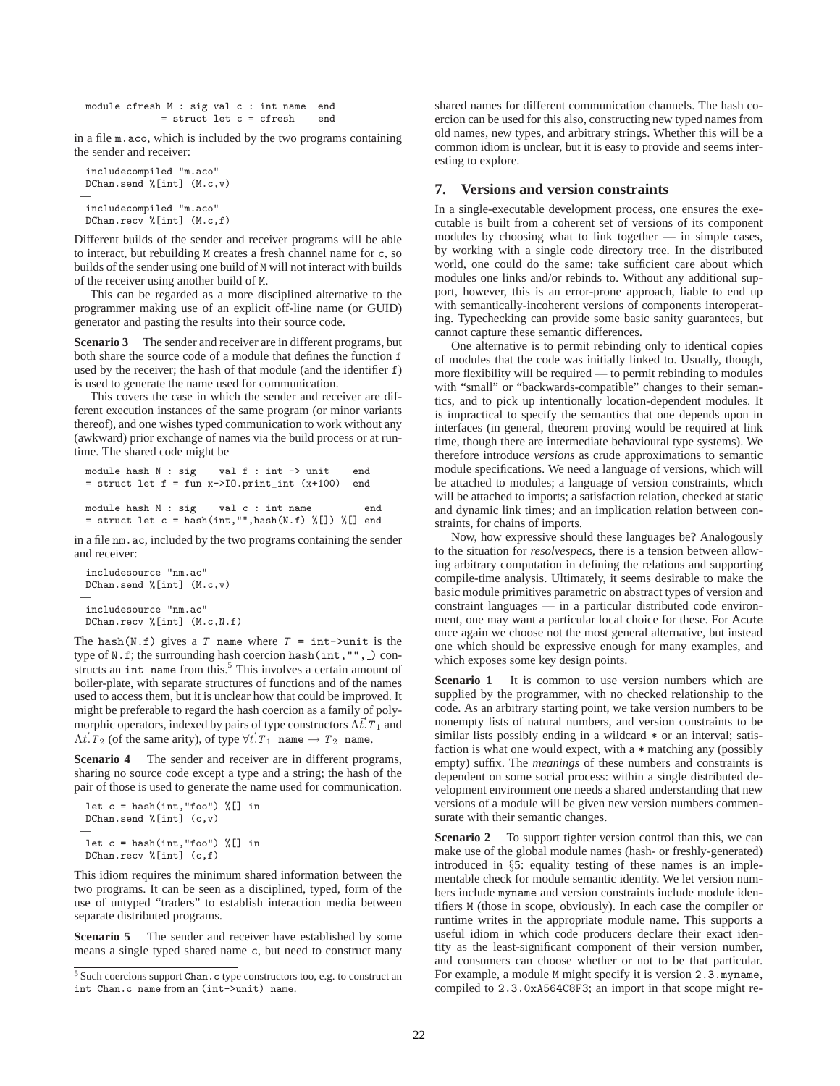module cfresh M : sig val c : int name end = struct let c = cfresh end

in a file m.aco, which is included by the two programs containing the sender and receiver:

```
includecompiled "m.aco"
DChan.send %[int] (M.c,v)
—
includecompiled "m.aco"
DChan.recv %[int] (M.c,f)
```
Different builds of the sender and receiver programs will be able to interact, but rebuilding M creates a fresh channel name for c, so builds of the sender using one build of M will not interact with builds of the receiver using another build of M.

This can be regarded as a more disciplined alternative to the programmer making use of an explicit off-line name (or GUID) generator and pasting the results into their source code.

**Scenario 3** The sender and receiver are in different programs, but both share the source code of a module that defines the function f used by the receiver; the hash of that module (and the identifier f) is used to generate the name used for communication.

This covers the case in which the sender and receiver are different execution instances of the same program (or minor variants thereof), and one wishes typed communication to work without any (awkward) prior exchange of names via the build process or at runtime. The shared code might be

```
module hash N : sig val f : int -> unit end
= struct let f = \lim_{x\to10}.print_int (x+100) end
module hash M : sig val c : int name end
= struct let c = hash(int, "", hash(N.f) %[] ) (] end
```
in a file nm.ac, included by the two programs containing the sender and receiver:

```
includesource "nm.ac"
DChan.send %[int] (M.c,v)
—
 includesource "nm.ac"
DChan.recv %[int] (M.c, N.f)
```
The hash(N.f) gives a T name where  $T = int-\text{1}$  int- $\text{2}$  int is the type of N.f; the surrounding hash coercion hash(int,"", ) constructs an int name from this.<sup>5</sup> This involves a certain amount of boiler-plate, with separate structures of functions and of the names used to access them, but it is unclear how that could be improved. It might be preferable to regard the hash coercion as a family of polymorphic operators, indexed by pairs of type constructors  $\Lambda t$ . T<sub>1</sub> and  $\Lambda \vec{t}.\,T_2$  (of the same arity), of type  $\forall \vec{t}.\,T_1$  name  $\rightarrow T_2$  name.

**Scenario 4** The sender and receiver are in different programs, sharing no source code except a type and a string; the hash of the pair of those is used to generate the name used for communication.

```
let c = hash(int, "foo") %[] in
DChan.send %[int] (c,v)
—
let c = hash(int, "foo") %[] in
DChan.recv %[int] (c,f)
```
This idiom requires the minimum shared information between the two programs. It can be seen as a disciplined, typed, form of the use of untyped "traders" to establish interaction media between separate distributed programs.

**Scenario 5** The sender and receiver have established by some means a single typed shared name c, but need to construct many

shared names for different communication channels. The hash coercion can be used for this also, constructing new typed names from old names, new types, and arbitrary strings. Whether this will be a common idiom is unclear, but it is easy to provide and seems interesting to explore.

# **7. Versions and version constraints**

In a single-executable development process, one ensures the executable is built from a coherent set of versions of its component modules by choosing what to link together — in simple cases, by working with a single code directory tree. In the distributed world, one could do the same: take sufficient care about which modules one links and/or rebinds to. Without any additional support, however, this is an error-prone approach, liable to end up with semantically-incoherent versions of components interoperating. Typechecking can provide some basic sanity guarantees, but cannot capture these semantic differences.

One alternative is to permit rebinding only to identical copies of modules that the code was initially linked to. Usually, though, more flexibility will be required — to permit rebinding to modules with "small" or "backwards-compatible" changes to their semantics, and to pick up intentionally location-dependent modules. It is impractical to specify the semantics that one depends upon in interfaces (in general, theorem proving would be required at link time, though there are intermediate behavioural type systems). We therefore introduce *versions* as crude approximations to semantic module specifications. We need a language of versions, which will be attached to modules; a language of version constraints, which will be attached to imports; a satisfaction relation, checked at static and dynamic link times; and an implication relation between constraints, for chains of imports.

Now, how expressive should these languages be? Analogously to the situation for *resolvespec*s, there is a tension between allowing arbitrary computation in defining the relations and supporting compile-time analysis. Ultimately, it seems desirable to make the basic module primitives parametric on abstract types of version and constraint languages — in a particular distributed code environment, one may want a particular local choice for these. For Acute once again we choose not the most general alternative, but instead one which should be expressive enough for many examples, and which exposes some key design points.

**Scenario 1** It is common to use version numbers which are supplied by the programmer, with no checked relationship to the code. As an arbitrary starting point, we take version numbers to be nonempty lists of natural numbers, and version constraints to be similar lists possibly ending in a wildcard  $*$  or an interval; satisfaction is what one would expect, with a \* matching any (possibly empty) suffix. The *meanings* of these numbers and constraints is dependent on some social process: within a single distributed development environment one needs a shared understanding that new versions of a module will be given new version numbers commensurate with their semantic changes.

**Scenario 2** To support tighter version control than this, we can make use of the global module names (hash- or freshly-generated) introduced in §5: equality testing of these names is an implementable check for module semantic identity. We let version numbers include myname and version constraints include module identifiers M (those in scope, obviously). In each case the compiler or runtime writes in the appropriate module name. This supports a useful idiom in which code producers declare their exact identity as the least-significant component of their version number, and consumers can choose whether or not to be that particular. For example, a module M might specify it is version 2.3.myname, compiled to 2.3.0xA564C8F3; an import in that scope might re-

 $^5$  Such coercions support  ${\tt Chan.c}$  type constructors too, e.g. to construct an int Chan.c name from an (int->unit) name.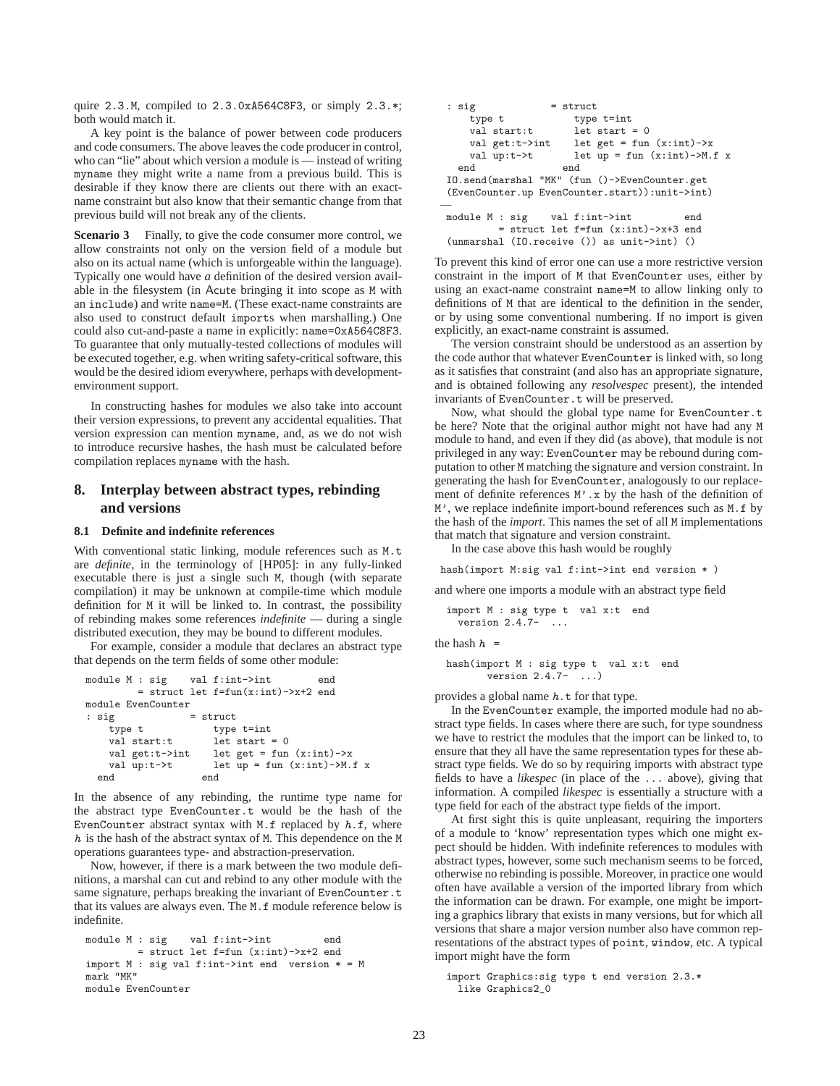quire 2.3.M, compiled to 2.3.0xA564C8F3, or simply 2.3.\*; both would match it.

A key point is the balance of power between code producers and code consumers. The above leaves the code producer in control, who can "lie" about which version a module is — instead of writing myname they might write a name from a previous build. This is desirable if they know there are clients out there with an exactname constraint but also know that their semantic change from that previous build will not break any of the clients.

**Scenario 3** Finally, to give the code consumer more control, we allow constraints not only on the version field of a module but also on its actual name (which is unforgeable within the language). Typically one would have *a* definition of the desired version available in the filesystem (in Acute bringing it into scope as M with an include) and write name=M. (These exact-name constraints are also used to construct default imports when marshalling.) One could also cut-and-paste a name in explicitly: name=0xA564C8F3. To guarantee that only mutually-tested collections of modules will be executed together, e.g. when writing safety-critical software, this would be the desired idiom everywhere, perhaps with developmentenvironment support.

In constructing hashes for modules we also take into account their version expressions, to prevent any accidental equalities. That version expression can mention myname, and, as we do not wish to introduce recursive hashes, the hash must be calculated before compilation replaces myname with the hash.

# **8. Interplay between abstract types, rebinding and versions**

#### **8.1 Definite and indefinite references**

With conventional static linking, module references such as M.t are *definite*, in the terminology of [HP05]: in any fully-linked executable there is just a single such M, though (with separate compilation) it may be unknown at compile-time which module definition for M it will be linked to. In contrast, the possibility of rebinding makes some references *indefinite* — during a single distributed execution, they may be bound to different modules.

For example, consider a module that declares an abstract type that depends on the term fields of some other module:

```
module M : sig val f:int->int
       = struct let f=fun(x:int)->x+2 end
module EvenCounter
: sig = structtype t type t=int
   val start: let start = 0
   val get:t->int let get = fun (x:int)->x
   val up:t->t let up = fun (x:int)->M.f x
 end end
```
In the absence of any rebinding, the runtime type name for the abstract type EvenCounter.t would be the hash of the EvenCounter abstract syntax with M.f replaced by  $h.f.$  where  $h$  is the hash of the abstract syntax of M. This dependence on the M operations guarantees type- and abstraction-preservation.

Now, however, if there is a mark between the two module definitions, a marshal can cut and rebind to any other module with the same signature, perhaps breaking the invariant of EvenCounter.t that its values are always even. The M.f module reference below is indefinite.

```
module M : sig val f:int->int end
        = struct let f=fun (x:int)->x+2 end
import M : sig val f:int->int end version * = Mmark "MK"
module EvenCounter
```

| : sig                                          | $=$ struct                                                   |  |  |  |  |  |
|------------------------------------------------|--------------------------------------------------------------|--|--|--|--|--|
| type t                                         | type t=int                                                   |  |  |  |  |  |
| val start:t                                    | $let start = 0$                                              |  |  |  |  |  |
| val $get:t->int$                               | let get = fun $(x:int)$ ->x                                  |  |  |  |  |  |
| $val$ up: $t$ - $>$ $t$                        | let up = fun $(x:int)$ ->M.f x                               |  |  |  |  |  |
| end                                            | end                                                          |  |  |  |  |  |
|                                                | IO.send(marshal "MK" (fun ()->EvenCounter.get                |  |  |  |  |  |
| (EvenCounter.up EvenCounter.start)):unit->int) |                                                              |  |  |  |  |  |
|                                                |                                                              |  |  |  |  |  |
| module $M : sig$ val f:int->int                | end                                                          |  |  |  |  |  |
|                                                | $=$ struct let f=fun $(x:int)$ ->x+3 end                     |  |  |  |  |  |
|                                                | $(unmarshall (I0.receive () )$ as $unit \rightarrow int)$ () |  |  |  |  |  |

To prevent this kind of error one can use a more restrictive version constraint in the import of M that EvenCounter uses, either by using an exact-name constraint name=M to allow linking only to definitions of M that are identical to the definition in the sender, or by using some conventional numbering. If no import is given explicitly, an exact-name constraint is assumed.

The version constraint should be understood as an assertion by the code author that whatever EvenCounter is linked with, so long as it satisfies that constraint (and also has an appropriate signature, and is obtained following any *resolvespec* present), the intended invariants of EvenCounter.t will be preserved.

Now, what should the global type name for EvenCounter.t be here? Note that the original author might not have had any M module to hand, and even if they did (as above), that module is not privileged in any way: EvenCounter may be rebound during computation to other M matching the signature and version constraint. In generating the hash for EvenCounter, analogously to our replacement of definite references M'.x by the hash of the definition of M', we replace indefinite import-bound references such as M.f by the hash of the *import*. This names the set of all M implementations that match that signature and version constraint.

In the case above this hash would be roughly

hash(import M:sig val f:int->int end version \* )

and where one imports a module with an abstract type field

import M : sig type t val x:t end version  $2.4.7-$ 

the hash  $h =$ 

hash(import M : sig type t val x:t end version 2.4.7- ...)

provides a global name  $h \cdot t$  for that type.

In the EvenCounter example, the imported module had no abstract type fields. In cases where there are such, for type soundness we have to restrict the modules that the import can be linked to, to ensure that they all have the same representation types for these abstract type fields. We do so by requiring imports with abstract type fields to have a *likespec* (in place of the ... above), giving that information. A compiled *likespec* is essentially a structure with a type field for each of the abstract type fields of the import.

At first sight this is quite unpleasant, requiring the importers of a module to 'know' representation types which one might expect should be hidden. With indefinite references to modules with abstract types, however, some such mechanism seems to be forced, otherwise no rebinding is possible. Moreover, in practice one would often have available a version of the imported library from which the information can be drawn. For example, one might be importing a graphics library that exists in many versions, but for which all versions that share a major version number also have common representations of the abstract types of point, window, etc. A typical import might have the form

import Graphics:sig type t end version 2.3.\* like Graphics2\_0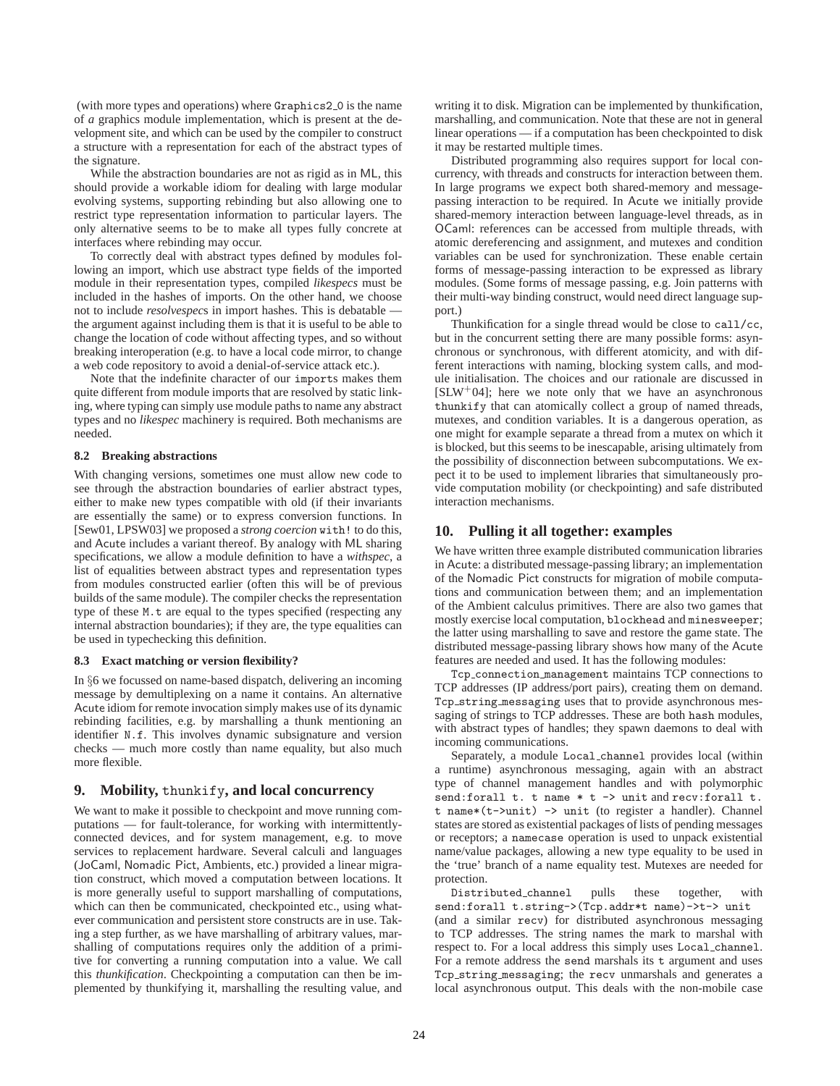(with more types and operations) where Graphics2 0 is the name of *a* graphics module implementation, which is present at the development site, and which can be used by the compiler to construct a structure with a representation for each of the abstract types of the signature.

While the abstraction boundaries are not as rigid as in ML, this should provide a workable idiom for dealing with large modular evolving systems, supporting rebinding but also allowing one to restrict type representation information to particular layers. The only alternative seems to be to make all types fully concrete at interfaces where rebinding may occur.

To correctly deal with abstract types defined by modules following an import, which use abstract type fields of the imported module in their representation types, compiled *likespecs* must be included in the hashes of imports. On the other hand, we choose not to include *resolvespec*s in import hashes. This is debatable the argument against including them is that it is useful to be able to change the location of code without affecting types, and so without breaking interoperation (e.g. to have a local code mirror, to change a web code repository to avoid a denial-of-service attack etc.).

Note that the indefinite character of our imports makes them quite different from module imports that are resolved by static linking, where typing can simply use module paths to name any abstract types and no *likespec* machinery is required. Both mechanisms are needed.

#### **8.2 Breaking abstractions**

With changing versions, sometimes one must allow new code to see through the abstraction boundaries of earlier abstract types, either to make new types compatible with old (if their invariants are essentially the same) or to express conversion functions. In [Sew01, LPSW03] we proposed a *strong coercion* with! to do this, and Acute includes a variant thereof. By analogy with ML sharing specifications, we allow a module definition to have a *withspec*, a list of equalities between abstract types and representation types from modules constructed earlier (often this will be of previous builds of the same module). The compiler checks the representation type of these M.t are equal to the types specified (respecting any internal abstraction boundaries); if they are, the type equalities can be used in typechecking this definition.

#### **8.3 Exact matching or version flexibility?**

In §6 we focussed on name-based dispatch, delivering an incoming message by demultiplexing on a name it contains. An alternative Acute idiom for remote invocation simply makes use of its dynamic rebinding facilities, e.g. by marshalling a thunk mentioning an identifier N.f. This involves dynamic subsignature and version checks — much more costly than name equality, but also much more flexible.

### **9. Mobility,** thunkify**, and local concurrency**

We want to make it possible to checkpoint and move running computations — for fault-tolerance, for working with intermittentlyconnected devices, and for system management, e.g. to move services to replacement hardware. Several calculi and languages (JoCaml, Nomadic Pict, Ambients, etc.) provided a linear migration construct, which moved a computation between locations. It is more generally useful to support marshalling of computations, which can then be communicated, checkpointed etc., using whatever communication and persistent store constructs are in use. Taking a step further, as we have marshalling of arbitrary values, marshalling of computations requires only the addition of a primitive for converting a running computation into a value. We call this *thunkification*. Checkpointing a computation can then be implemented by thunkifying it, marshalling the resulting value, and

writing it to disk. Migration can be implemented by thunkification, marshalling, and communication. Note that these are not in general linear operations — if a computation has been checkpointed to disk it may be restarted multiple times.

Distributed programming also requires support for local concurrency, with threads and constructs for interaction between them. In large programs we expect both shared-memory and messagepassing interaction to be required. In Acute we initially provide shared-memory interaction between language-level threads, as in OCaml: references can be accessed from multiple threads, with atomic dereferencing and assignment, and mutexes and condition variables can be used for synchronization. These enable certain forms of message-passing interaction to be expressed as library modules. (Some forms of message passing, e.g. Join patterns with their multi-way binding construct, would need direct language support.)

Thunkification for a single thread would be close to call/cc, but in the concurrent setting there are many possible forms: asynchronous or synchronous, with different atomicity, and with different interactions with naming, blocking system calls, and module initialisation. The choices and our rationale are discussed in  $[SLW<sup>+</sup>04]$ ; here we note only that we have an asynchronous thunkify that can atomically collect a group of named threads, mutexes, and condition variables. It is a dangerous operation, as one might for example separate a thread from a mutex on which it is blocked, but this seems to be inescapable, arising ultimately from the possibility of disconnection between subcomputations. We expect it to be used to implement libraries that simultaneously provide computation mobility (or checkpointing) and safe distributed interaction mechanisms.

# **10. Pulling it all together: examples**

We have written three example distributed communication libraries in Acute: a distributed message-passing library; an implementation of the Nomadic Pict constructs for migration of mobile computations and communication between them; and an implementation of the Ambient calculus primitives. There are also two games that mostly exercise local computation, blockhead and minesweeper; the latter using marshalling to save and restore the game state. The distributed message-passing library shows how many of the Acute features are needed and used. It has the following modules:

Tcp connection management maintains TCP connections to TCP addresses (IP address/port pairs), creating them on demand. Tcp string messaging uses that to provide asynchronous messaging of strings to TCP addresses. These are both hash modules, with abstract types of handles; they spawn daemons to deal with incoming communications.

Separately, a module Local channel provides local (within a runtime) asynchronous messaging, again with an abstract type of channel management handles and with polymorphic send:forall t. t name \* t -> unit and recv:forall t. t name\*(t->unit) -> unit (to register a handler). Channel states are stored as existential packages of lists of pending messages or receptors; a namecase operation is used to unpack existential name/value packages, allowing a new type equality to be used in the 'true' branch of a name equality test. Mutexes are needed for protection.

Distributed channel pulls these together, with send:forall t.string->(Tcp.addr\*t name)->t-> unit (and a similar recv) for distributed asynchronous messaging to TCP addresses. The string names the mark to marshal with respect to. For a local address this simply uses Local channel. For a remote address the send marshals its t argument and uses Tcp string messaging; the recv unmarshals and generates a local asynchronous output. This deals with the non-mobile case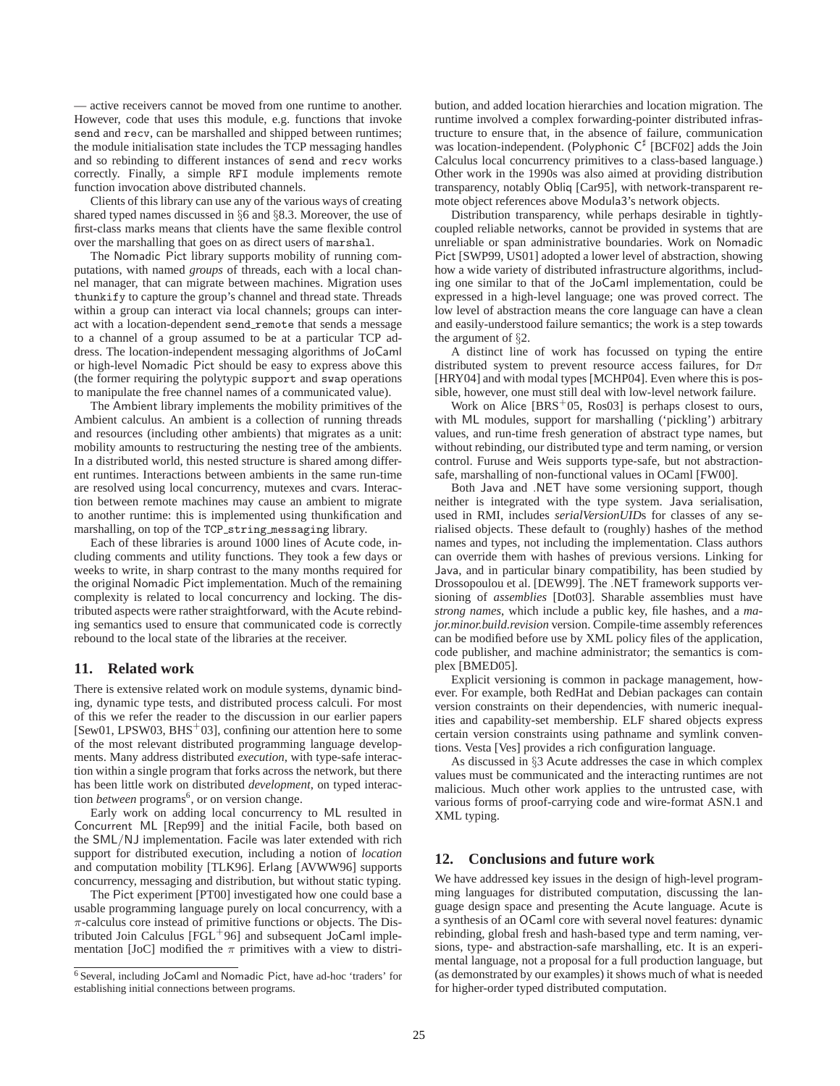— active receivers cannot be moved from one runtime to another. However, code that uses this module, e.g. functions that invoke send and recv, can be marshalled and shipped between runtimes; the module initialisation state includes the TCP messaging handles and so rebinding to different instances of send and recv works correctly. Finally, a simple RFI module implements remote function invocation above distributed channels.

Clients of this library can use any of the various ways of creating shared typed names discussed in §6 and §8.3. Moreover, the use of first-class marks means that clients have the same flexible control over the marshalling that goes on as direct users of marshal.

The Nomadic Pict library supports mobility of running computations, with named *groups* of threads, each with a local channel manager, that can migrate between machines. Migration uses thunkify to capture the group's channel and thread state. Threads within a group can interact via local channels; groups can interact with a location-dependent send remote that sends a message to a channel of a group assumed to be at a particular TCP address. The location-independent messaging algorithms of JoCaml or high-level Nomadic Pict should be easy to express above this (the former requiring the polytypic support and swap operations to manipulate the free channel names of a communicated value).

The Ambient library implements the mobility primitives of the Ambient calculus. An ambient is a collection of running threads and resources (including other ambients) that migrates as a unit: mobility amounts to restructuring the nesting tree of the ambients. In a distributed world, this nested structure is shared among different runtimes. Interactions between ambients in the same run-time are resolved using local concurrency, mutexes and cvars. Interaction between remote machines may cause an ambient to migrate to another runtime: this is implemented using thunkification and marshalling, on top of the TCP string messaging library.

Each of these libraries is around 1000 lines of Acute code, including comments and utility functions. They took a few days or weeks to write, in sharp contrast to the many months required for the original Nomadic Pict implementation. Much of the remaining complexity is related to local concurrency and locking. The distributed aspects were rather straightforward, with the Acute rebinding semantics used to ensure that communicated code is correctly rebound to the local state of the libraries at the receiver.

# **11. Related work**

There is extensive related work on module systems, dynamic binding, dynamic type tests, and distributed process calculi. For most of this we refer the reader to the discussion in our earlier papers  $[Sew01, LPSW03, BHS<sup>+</sup>03]$ , confining our attention here to some of the most relevant distributed programming language developments. Many address distributed *execution*, with type-safe interaction within a single program that forks across the network, but there has been little work on distributed *development*, on typed interaction *between* programs<sup>6</sup>, or on version change.

Early work on adding local concurrency to ML resulted in Concurrent ML [Rep99] and the initial Facile, both based on the SML/NJ implementation. Facile was later extended with rich support for distributed execution, including a notion of *location* and computation mobility [TLK96]. Erlang [AVWW96] supports concurrency, messaging and distribution, but without static typing.

The Pict experiment [PT00] investigated how one could base a usable programming language purely on local concurrency, with a  $\pi$ -calculus core instead of primitive functions or objects. The Distributed Join Calculus [FGL<sup>+</sup>96] and subsequent JoCaml implementation [JoC] modified the  $\pi$  primitives with a view to distribution, and added location hierarchies and location migration. The runtime involved a complex forwarding-pointer distributed infrastructure to ensure that, in the absence of failure, communication was location-independent. (Polyphonic  $C^{\sharp}$  [BCF02] adds the Join Calculus local concurrency primitives to a class-based language.) Other work in the 1990s was also aimed at providing distribution transparency, notably Obliq [Car95], with network-transparent remote object references above Modula3's network objects.

Distribution transparency, while perhaps desirable in tightlycoupled reliable networks, cannot be provided in systems that are unreliable or span administrative boundaries. Work on Nomadic Pict [SWP99, US01] adopted a lower level of abstraction, showing how a wide variety of distributed infrastructure algorithms, including one similar to that of the JoCaml implementation, could be expressed in a high-level language; one was proved correct. The low level of abstraction means the core language can have a clean and easily-understood failure semantics; the work is a step towards the argument of §2.

A distinct line of work has focussed on typing the entire distributed system to prevent resource access failures, for  $D\pi$ [HRY04] and with modal types [MCHP04]. Even where this is possible, however, one must still deal with low-level network failure.

Work on Alice  $[BRS<sup>+</sup>05, Ros03]$  is perhaps closest to ours, with ML modules, support for marshalling ('pickling') arbitrary values, and run-time fresh generation of abstract type names, but without rebinding, our distributed type and term naming, or version control. Furuse and Weis supports type-safe, but not abstractionsafe, marshalling of non-functional values in OCaml [FW00].

Both Java and .NET have some versioning support, though neither is integrated with the type system. Java serialisation, used in RMI, includes *serialVersionUID*s for classes of any serialised objects. These default to (roughly) hashes of the method names and types, not including the implementation. Class authors can override them with hashes of previous versions. Linking for Java, and in particular binary compatibility, has been studied by Drossopoulou et al. [DEW99]. The .NET framework supports versioning of *assemblies* [Dot03]. Sharable assemblies must have *strong names*, which include a public key, file hashes, and a *major.minor.build.revision* version. Compile-time assembly references can be modified before use by XML policy files of the application, code publisher, and machine administrator; the semantics is complex [BMED05].

Explicit versioning is common in package management, however. For example, both RedHat and Debian packages can contain version constraints on their dependencies, with numeric inequalities and capability-set membership. ELF shared objects express certain version constraints using pathname and symlink conventions. Vesta [Ves] provides a rich configuration language.

As discussed in §3 Acute addresses the case in which complex values must be communicated and the interacting runtimes are not malicious. Much other work applies to the untrusted case, with various forms of proof-carrying code and wire-format ASN.1 and XML typing.

# **12. Conclusions and future work**

We have addressed key issues in the design of high-level programming languages for distributed computation, discussing the language design space and presenting the Acute language. Acute is a synthesis of an OCaml core with several novel features: dynamic rebinding, global fresh and hash-based type and term naming, versions, type- and abstraction-safe marshalling, etc. It is an experimental language, not a proposal for a full production language, but (as demonstrated by our examples) it shows much of what is needed for higher-order typed distributed computation.

<sup>6</sup> Several, including JoCaml and Nomadic Pict, have ad-hoc 'traders' for establishing initial connections between programs.